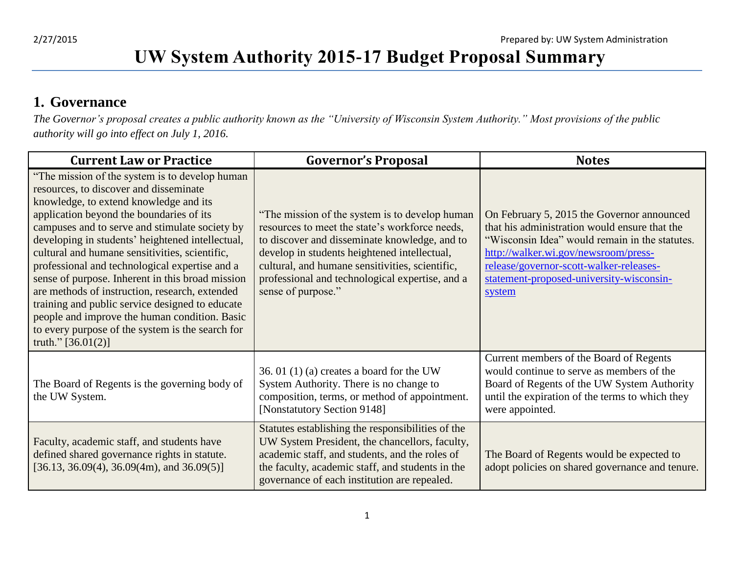## **UW System Authority 2015-17 Budget Proposal Summary**

#### **1. Governance**

*The Governor's proposal creates a public authority known as the "University of Wisconsin System Authority." Most provisions of the public authority will go into effect on July 1, 2016.* 

| <b>Current Law or Practice</b>                                                                                                                                                                                                                                                                                                                                                                                                                                                                                                                                                                                                                                                  | <b>Governor's Proposal</b>                                                                                                                                                                                                                                                                                                    | <b>Notes</b>                                                                                                                                                                                                                                                                           |
|---------------------------------------------------------------------------------------------------------------------------------------------------------------------------------------------------------------------------------------------------------------------------------------------------------------------------------------------------------------------------------------------------------------------------------------------------------------------------------------------------------------------------------------------------------------------------------------------------------------------------------------------------------------------------------|-------------------------------------------------------------------------------------------------------------------------------------------------------------------------------------------------------------------------------------------------------------------------------------------------------------------------------|----------------------------------------------------------------------------------------------------------------------------------------------------------------------------------------------------------------------------------------------------------------------------------------|
| "The mission of the system is to develop human"<br>resources, to discover and disseminate<br>knowledge, to extend knowledge and its<br>application beyond the boundaries of its<br>campuses and to serve and stimulate society by<br>developing in students' heightened intellectual,<br>cultural and humane sensitivities, scientific,<br>professional and technological expertise and a<br>sense of purpose. Inherent in this broad mission<br>are methods of instruction, research, extended<br>training and public service designed to educate<br>people and improve the human condition. Basic<br>to every purpose of the system is the search for<br>truth." $[36.01(2)]$ | "The mission of the system is to develop human<br>resources to meet the state's workforce needs,<br>to discover and disseminate knowledge, and to<br>develop in students heightened intellectual,<br>cultural, and humane sensitivities, scientific,<br>professional and technological expertise, and a<br>sense of purpose." | On February 5, 2015 the Governor announced<br>that his administration would ensure that the<br>"Wisconsin Idea" would remain in the statutes.<br>http://walker.wi.gov/newsroom/press-<br>release/governor-scott-walker-releases-<br>statement-proposed-university-wisconsin-<br>system |
| The Board of Regents is the governing body of<br>the UW System.                                                                                                                                                                                                                                                                                                                                                                                                                                                                                                                                                                                                                 | 36. 01 $(1)$ (a) creates a board for the UW<br>System Authority. There is no change to<br>composition, terms, or method of appointment.<br>[Nonstatutory Section 9148]                                                                                                                                                        | Current members of the Board of Regents<br>would continue to serve as members of the<br>Board of Regents of the UW System Authority<br>until the expiration of the terms to which they<br>were appointed.                                                                              |
| Faculty, academic staff, and students have<br>defined shared governance rights in statute.<br>$[36.13, 36.09(4), 36.09(4m),$ and $36.09(5)]$                                                                                                                                                                                                                                                                                                                                                                                                                                                                                                                                    | Statutes establishing the responsibilities of the<br>UW System President, the chancellors, faculty,<br>academic staff, and students, and the roles of<br>the faculty, academic staff, and students in the<br>governance of each institution are repealed.                                                                     | The Board of Regents would be expected to<br>adopt policies on shared governance and tenure.                                                                                                                                                                                           |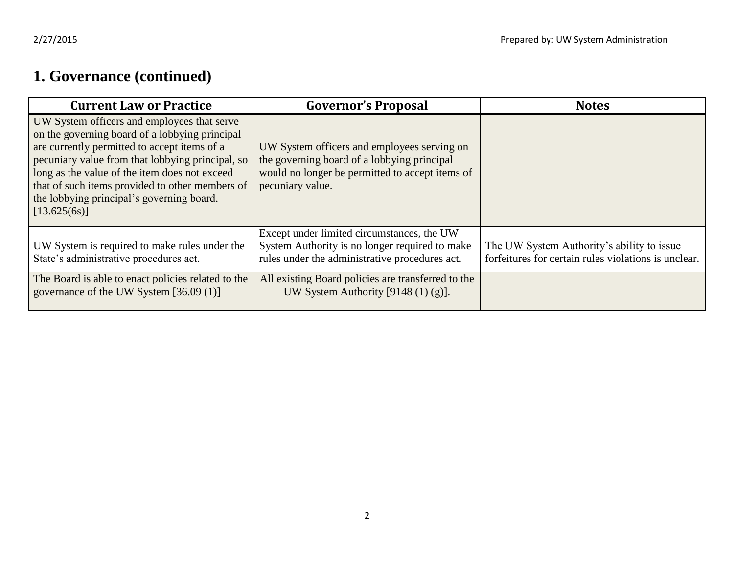## **1. Governance (continued)**

| <b>Current Law or Practice</b>                                                                                                                                                                                                                                                                                                                                     | <b>Governor's Proposal</b>                                                                                                                                        | <b>Notes</b>                                                                                       |
|--------------------------------------------------------------------------------------------------------------------------------------------------------------------------------------------------------------------------------------------------------------------------------------------------------------------------------------------------------------------|-------------------------------------------------------------------------------------------------------------------------------------------------------------------|----------------------------------------------------------------------------------------------------|
| UW System officers and employees that serve<br>on the governing board of a lobbying principal<br>are currently permitted to accept items of a<br>pecuniary value from that lobbying principal, so<br>long as the value of the item does not exceed<br>that of such items provided to other members of<br>the lobbying principal's governing board.<br>[13.625(6s)] | UW System officers and employees serving on<br>the governing board of a lobbying principal<br>would no longer be permitted to accept items of<br>pecuniary value. |                                                                                                    |
| UW System is required to make rules under the<br>State's administrative procedures act.                                                                                                                                                                                                                                                                            | Except under limited circumstances, the UW<br>System Authority is no longer required to make<br>rules under the administrative procedures act.                    | The UW System Authority's ability to issue<br>forfeitures for certain rules violations is unclear. |
| The Board is able to enact policies related to the<br>governance of the UW System [36.09 (1)]                                                                                                                                                                                                                                                                      | All existing Board policies are transferred to the<br>UW System Authority [9148 $(1)$ $(g)$ ].                                                                    |                                                                                                    |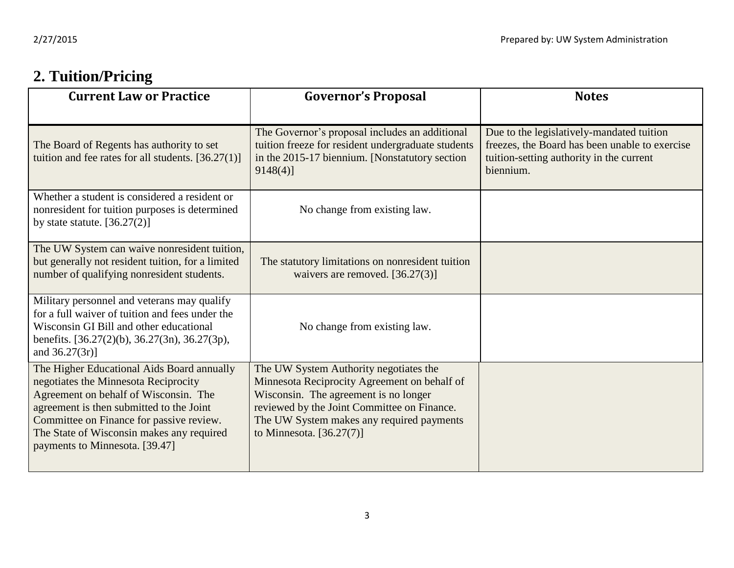## **2. Tuition/Pricing**

| <b>Current Law or Practice</b>                                                                                                                                                                                                                                                                     | <b>Governor's Proposal</b>                                                                                                                                                                                                                                | <b>Notes</b>                                                                                                                                         |
|----------------------------------------------------------------------------------------------------------------------------------------------------------------------------------------------------------------------------------------------------------------------------------------------------|-----------------------------------------------------------------------------------------------------------------------------------------------------------------------------------------------------------------------------------------------------------|------------------------------------------------------------------------------------------------------------------------------------------------------|
| The Board of Regents has authority to set<br>tuition and fee rates for all students. $[36.27(1)]$                                                                                                                                                                                                  | The Governor's proposal includes an additional<br>tuition freeze for resident undergraduate students<br>in the 2015-17 biennium. [Nonstatutory section<br>$9148(4)$ ]                                                                                     | Due to the legislatively-mandated tuition<br>freezes, the Board has been unable to exercise<br>tuition-setting authority in the current<br>biennium. |
| Whether a student is considered a resident or<br>nonresident for tuition purposes is determined<br>by state statute. $[36.27(2)]$                                                                                                                                                                  | No change from existing law.                                                                                                                                                                                                                              |                                                                                                                                                      |
| The UW System can waive nonresident tuition,<br>but generally not resident tuition, for a limited<br>number of qualifying nonresident students.                                                                                                                                                    | The statutory limitations on nonresident tuition<br>waivers are removed. [36.27(3)]                                                                                                                                                                       |                                                                                                                                                      |
| Military personnel and veterans may qualify<br>for a full waiver of tuition and fees under the<br>Wisconsin GI Bill and other educational<br>benefits. $[36.27(2)(b), 36.27(3n), 36.27(3p),$<br>and $36.27(3r)$ ]                                                                                  | No change from existing law.                                                                                                                                                                                                                              |                                                                                                                                                      |
| The Higher Educational Aids Board annually<br>negotiates the Minnesota Reciprocity<br>Agreement on behalf of Wisconsin. The<br>agreement is then submitted to the Joint<br>Committee on Finance for passive review.<br>The State of Wisconsin makes any required<br>payments to Minnesota. [39.47] | The UW System Authority negotiates the<br>Minnesota Reciprocity Agreement on behalf of<br>Wisconsin. The agreement is no longer<br>reviewed by the Joint Committee on Finance.<br>The UW System makes any required payments<br>to Minnesota. $[36.27(7)]$ |                                                                                                                                                      |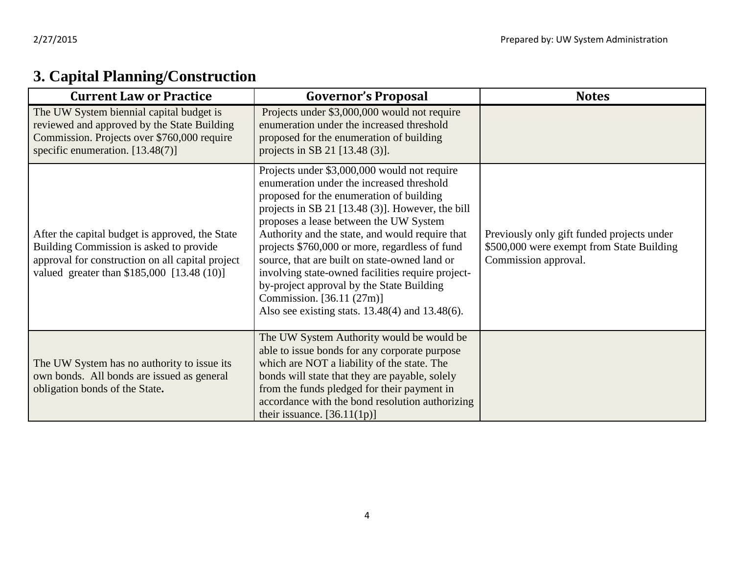| <b>Current Law or Practice</b>                                                                                                                                                               | <b>Governor's Proposal</b>                                                                                                                                                                                                                                                                                                                                                                                                                                                                                                                                                       | <b>Notes</b>                                                                                                    |
|----------------------------------------------------------------------------------------------------------------------------------------------------------------------------------------------|----------------------------------------------------------------------------------------------------------------------------------------------------------------------------------------------------------------------------------------------------------------------------------------------------------------------------------------------------------------------------------------------------------------------------------------------------------------------------------------------------------------------------------------------------------------------------------|-----------------------------------------------------------------------------------------------------------------|
| The UW System biennial capital budget is<br>reviewed and approved by the State Building<br>Commission. Projects over \$760,000 require<br>specific enumeration. $[13.48(7)]$                 | Projects under \$3,000,000 would not require<br>enumeration under the increased threshold<br>proposed for the enumeration of building<br>projects in SB 21 [13.48 (3)].                                                                                                                                                                                                                                                                                                                                                                                                          |                                                                                                                 |
| After the capital budget is approved, the State<br>Building Commission is asked to provide<br>approval for construction on all capital project<br>valued greater than \$185,000 [13.48 (10)] | Projects under \$3,000,000 would not require<br>enumeration under the increased threshold<br>proposed for the enumeration of building<br>projects in SB 21 [13.48 (3)]. However, the bill<br>proposes a lease between the UW System<br>Authority and the state, and would require that<br>projects \$760,000 or more, regardless of fund<br>source, that are built on state-owned land or<br>involving state-owned facilities require project-<br>by-project approval by the State Building<br>Commission. [36.11 (27m)]<br>Also see existing stats. $13.48(4)$ and $13.48(6)$ . | Previously only gift funded projects under<br>\$500,000 were exempt from State Building<br>Commission approval. |
| The UW System has no authority to issue its<br>own bonds. All bonds are issued as general<br>obligation bonds of the State.                                                                  | The UW System Authority would be would be<br>able to issue bonds for any corporate purpose<br>which are NOT a liability of the state. The<br>bonds will state that they are payable, solely<br>from the funds pledged for their payment in<br>accordance with the bond resolution authorizing<br>their issuance. $[36.11(1p)]$                                                                                                                                                                                                                                                   |                                                                                                                 |

# **3. Capital Planning/Construction**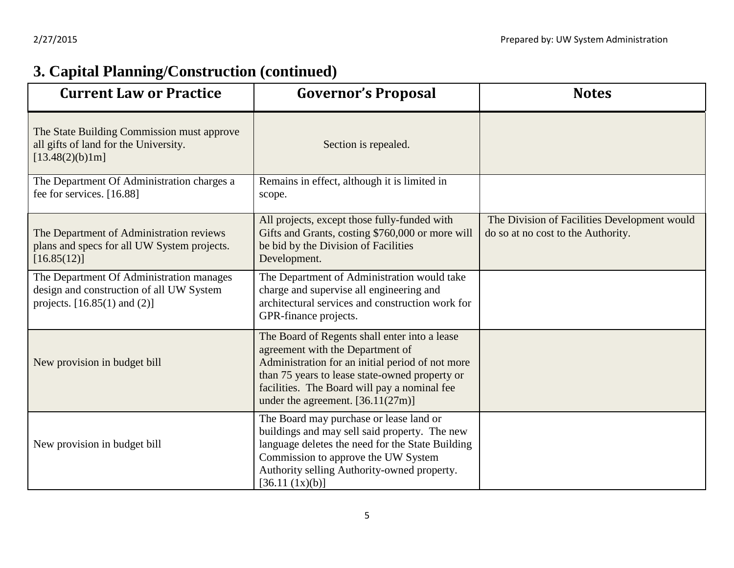# **3. Capital Planning/Construction (continued)**

| <b>Current Law or Practice</b>                                                                                           | <b>Governor's Proposal</b>                                                                                                                                                                                                                                                     | <b>Notes</b>                                                                       |
|--------------------------------------------------------------------------------------------------------------------------|--------------------------------------------------------------------------------------------------------------------------------------------------------------------------------------------------------------------------------------------------------------------------------|------------------------------------------------------------------------------------|
| The State Building Commission must approve<br>all gifts of land for the University.<br>[13.48(2)(b)1m]                   | Section is repealed.                                                                                                                                                                                                                                                           |                                                                                    |
| The Department Of Administration charges a<br>fee for services. [16.88]                                                  | Remains in effect, although it is limited in<br>scope.                                                                                                                                                                                                                         |                                                                                    |
| The Department of Administration reviews<br>plans and specs for all UW System projects.<br>[16.85(12)]                   | All projects, except those fully-funded with<br>Gifts and Grants, costing \$760,000 or more will<br>be bid by the Division of Facilities<br>Development.                                                                                                                       | The Division of Facilities Development would<br>do so at no cost to the Authority. |
| The Department Of Administration manages<br>design and construction of all UW System<br>projects. $[16.85(1)$ and $(2)]$ | The Department of Administration would take<br>charge and supervise all engineering and<br>architectural services and construction work for<br>GPR-finance projects.                                                                                                           |                                                                                    |
| New provision in budget bill                                                                                             | The Board of Regents shall enter into a lease<br>agreement with the Department of<br>Administration for an initial period of not more<br>than 75 years to lease state-owned property or<br>facilities. The Board will pay a nominal fee<br>under the agreement. $[36.11(27m)]$ |                                                                                    |
| New provision in budget bill                                                                                             | The Board may purchase or lease land or<br>buildings and may sell said property. The new<br>language deletes the need for the State Building<br>Commission to approve the UW System<br>Authority selling Authority-owned property.<br>[36.11 (1x)(b)]                          |                                                                                    |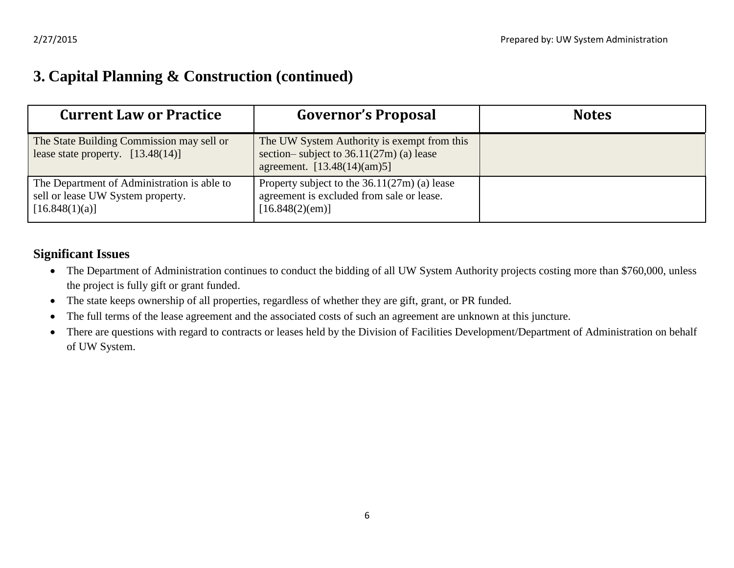#### **3. Capital Planning & Construction (continued)**

| <b>Current Law or Practice</b>                                                                     | <b>Governor's Proposal</b>                                                                                                | <b>Notes</b> |
|----------------------------------------------------------------------------------------------------|---------------------------------------------------------------------------------------------------------------------------|--------------|
| The State Building Commission may sell or<br>lease state property. $[13.48(14)]$                   | The UW System Authority is exempt from this<br>section-subject to $36.11(27m)$ (a) lease<br>agreement. $[13.48(14)(am)5]$ |              |
| The Department of Administration is able to<br>sell or lease UW System property.<br>[16.848(1)(a)] | Property subject to the $36.11(27m)$ (a) lease<br>agreement is excluded from sale or lease.<br>[16.848(2)(em)]            |              |

#### **Significant Issues**

- The Department of Administration continues to conduct the bidding of all UW System Authority projects costing more than \$760,000, unless the project is fully gift or grant funded.
- The state keeps ownership of all properties, regardless of whether they are gift, grant, or PR funded.
- The full terms of the lease agreement and the associated costs of such an agreement are unknown at this juncture.
- There are questions with regard to contracts or leases held by the Division of Facilities Development/Department of Administration on behalf of UW System.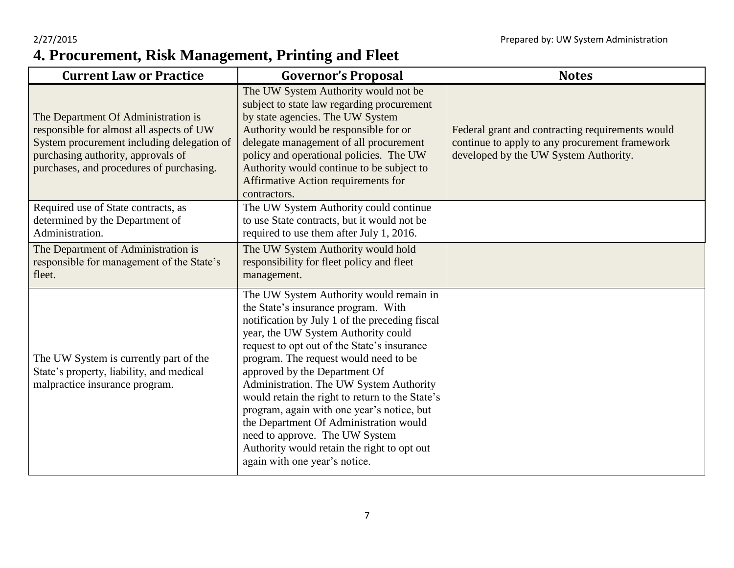#### 2/27/2015 Prepared by: UW System Administration **4. Procurement, Risk Management, Printing and Fleet**

| <b>Current Law or Practice</b>                                                                                                                                                                                  | <b>Governor's Proposal</b>                                                                                                                                                                                                                                                                                                                                                                                                                                                                                                                                                                               | <b>Notes</b>                                                                                                                                |
|-----------------------------------------------------------------------------------------------------------------------------------------------------------------------------------------------------------------|----------------------------------------------------------------------------------------------------------------------------------------------------------------------------------------------------------------------------------------------------------------------------------------------------------------------------------------------------------------------------------------------------------------------------------------------------------------------------------------------------------------------------------------------------------------------------------------------------------|---------------------------------------------------------------------------------------------------------------------------------------------|
| The Department Of Administration is<br>responsible for almost all aspects of UW<br>System procurement including delegation of<br>purchasing authority, approvals of<br>purchases, and procedures of purchasing. | The UW System Authority would not be<br>subject to state law regarding procurement<br>by state agencies. The UW System<br>Authority would be responsible for or<br>delegate management of all procurement<br>policy and operational policies. The UW<br>Authority would continue to be subject to<br>Affirmative Action requirements for<br>contractors.                                                                                                                                                                                                                                                 | Federal grant and contracting requirements would<br>continue to apply to any procurement framework<br>developed by the UW System Authority. |
| Required use of State contracts, as<br>determined by the Department of<br>Administration.                                                                                                                       | The UW System Authority could continue<br>to use State contracts, but it would not be<br>required to use them after July 1, 2016.                                                                                                                                                                                                                                                                                                                                                                                                                                                                        |                                                                                                                                             |
| The Department of Administration is<br>responsible for management of the State's<br>fleet.                                                                                                                      | The UW System Authority would hold<br>responsibility for fleet policy and fleet<br>management.                                                                                                                                                                                                                                                                                                                                                                                                                                                                                                           |                                                                                                                                             |
| The UW System is currently part of the<br>State's property, liability, and medical<br>malpractice insurance program.                                                                                            | The UW System Authority would remain in<br>the State's insurance program. With<br>notification by July 1 of the preceding fiscal<br>year, the UW System Authority could<br>request to opt out of the State's insurance<br>program. The request would need to be<br>approved by the Department Of<br>Administration. The UW System Authority<br>would retain the right to return to the State's<br>program, again with one year's notice, but<br>the Department Of Administration would<br>need to approve. The UW System<br>Authority would retain the right to opt out<br>again with one year's notice. |                                                                                                                                             |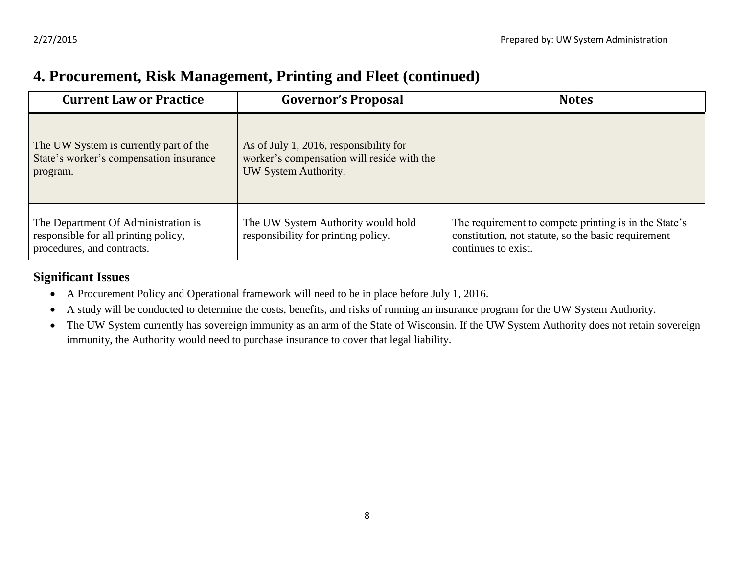#### **4. Procurement, Risk Management, Printing and Fleet (continued)**

| <b>Current Law or Practice</b>                                                                            | <b>Governor's Proposal</b>                                                                                   | <b>Notes</b>                                                                                                                        |
|-----------------------------------------------------------------------------------------------------------|--------------------------------------------------------------------------------------------------------------|-------------------------------------------------------------------------------------------------------------------------------------|
| The UW System is currently part of the<br>State's worker's compensation insurance<br>program.             | As of July 1, 2016, responsibility for<br>worker's compensation will reside with the<br>UW System Authority. |                                                                                                                                     |
| The Department Of Administration is<br>responsible for all printing policy,<br>procedures, and contracts. | The UW System Authority would hold<br>responsibility for printing policy.                                    | The requirement to compete printing is in the State's<br>constitution, not statute, so the basic requirement<br>continues to exist. |

#### **Significant Issues**

- A Procurement Policy and Operational framework will need to be in place before July 1, 2016.
- A study will be conducted to determine the costs, benefits, and risks of running an insurance program for the UW System Authority.
- The UW System currently has sovereign immunity as an arm of the State of Wisconsin. If the UW System Authority does not retain sovereign immunity, the Authority would need to purchase insurance to cover that legal liability.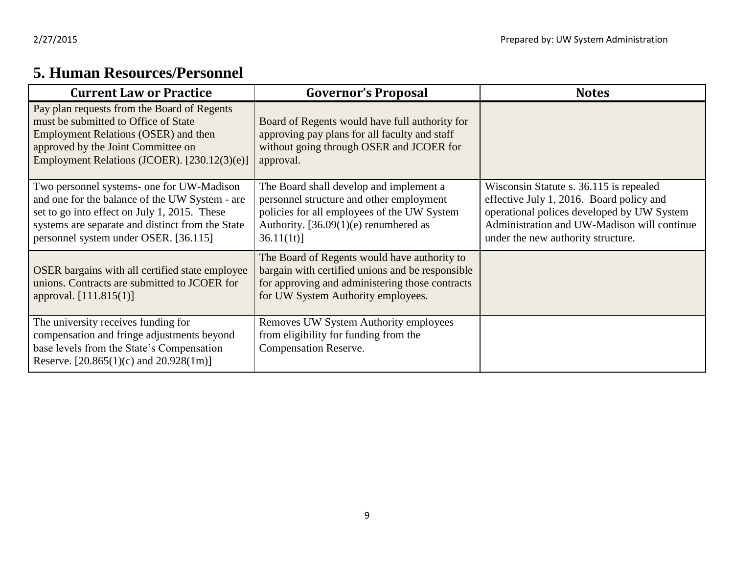### **5. Human Resources/Personnel**

| <b>Current Law or Practice</b>                                                                                                                                                                                                           | <b>Governor's Proposal</b>                                                                                                                                                                 | <b>Notes</b>                                                                                                                                                                                                           |
|------------------------------------------------------------------------------------------------------------------------------------------------------------------------------------------------------------------------------------------|--------------------------------------------------------------------------------------------------------------------------------------------------------------------------------------------|------------------------------------------------------------------------------------------------------------------------------------------------------------------------------------------------------------------------|
| Pay plan requests from the Board of Regents<br>must be submitted to Office of State<br>Employment Relations (OSER) and then<br>approved by the Joint Committee on<br>Employment Relations (JCOER). [230.12(3)(e)]                        | Board of Regents would have full authority for<br>approving pay plans for all faculty and staff<br>without going through OSER and JCOER for<br>approval.                                   |                                                                                                                                                                                                                        |
| Two personnel systems- one for UW-Madison<br>and one for the balance of the UW System - are<br>set to go into effect on July 1, 2015. These<br>systems are separate and distinct from the State<br>personnel system under OSER. [36.115] | The Board shall develop and implement a<br>personnel structure and other employment<br>policies for all employees of the UW System<br>Authority. $[36.09(1)(e)$ renumbered as<br>36.11(1t) | Wisconsin Statute s. 36.115 is repealed<br>effective July 1, 2016. Board policy and<br>operational polices developed by UW System<br>Administration and UW-Madison will continue<br>under the new authority structure. |
| OSER bargains with all certified state employee<br>unions. Contracts are submitted to JCOER for<br>approval. [111.815(1)]                                                                                                                | The Board of Regents would have authority to<br>bargain with certified unions and be responsible<br>for approving and administering those contracts<br>for UW System Authority employees.  |                                                                                                                                                                                                                        |
| The university receives funding for<br>compensation and fringe adjustments beyond<br>base levels from the State's Compensation<br>Reserve. [20.865(1)(c) and $20.928(1m)$ ]                                                              | Removes UW System Authority employees<br>from eligibility for funding from the<br><b>Compensation Reserve.</b>                                                                             |                                                                                                                                                                                                                        |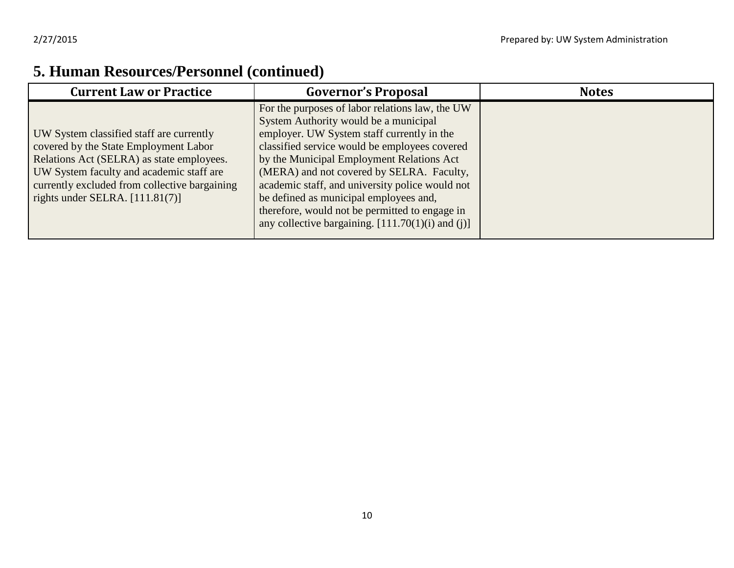### **5. Human Resources/Personnel (continued)**

| <b>Current Law or Practice</b>                                                                                                                                                                                                                                   | <b>Governor's Proposal</b>                                                                                                                                                                                                                                                                                                                                                                                                                                                              | <b>Notes</b> |
|------------------------------------------------------------------------------------------------------------------------------------------------------------------------------------------------------------------------------------------------------------------|-----------------------------------------------------------------------------------------------------------------------------------------------------------------------------------------------------------------------------------------------------------------------------------------------------------------------------------------------------------------------------------------------------------------------------------------------------------------------------------------|--------------|
| UW System classified staff are currently<br>covered by the State Employment Labor<br>Relations Act (SELRA) as state employees.<br>UW System faculty and academic staff are<br>currently excluded from collective bargaining<br>rights under SELRA. $[111.81(7)]$ | For the purposes of labor relations law, the UW<br>System Authority would be a municipal<br>employer. UW System staff currently in the<br>classified service would be employees covered<br>by the Municipal Employment Relations Act<br>(MERA) and not covered by SELRA. Faculty,<br>academic staff, and university police would not<br>be defined as municipal employees and,<br>therefore, would not be permitted to engage in<br>any collective bargaining. $[111.70(1)(i)$ and (j)] |              |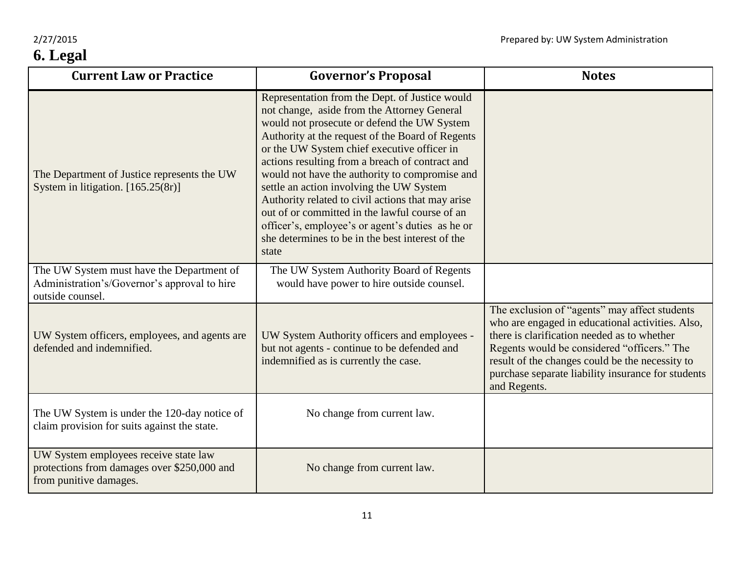| <b>Current Law or Practice</b>                                                                                 | <b>Governor's Proposal</b>                                                                                                                                                                                                                                                                                                                                                                                                                                                                                                                                                                                               | <b>Notes</b>                                                                                                                                                                                                                                                                                                             |
|----------------------------------------------------------------------------------------------------------------|--------------------------------------------------------------------------------------------------------------------------------------------------------------------------------------------------------------------------------------------------------------------------------------------------------------------------------------------------------------------------------------------------------------------------------------------------------------------------------------------------------------------------------------------------------------------------------------------------------------------------|--------------------------------------------------------------------------------------------------------------------------------------------------------------------------------------------------------------------------------------------------------------------------------------------------------------------------|
| The Department of Justice represents the UW<br>System in litigation. [165.25(8r)]                              | Representation from the Dept. of Justice would<br>not change, aside from the Attorney General<br>would not prosecute or defend the UW System<br>Authority at the request of the Board of Regents<br>or the UW System chief executive officer in<br>actions resulting from a breach of contract and<br>would not have the authority to compromise and<br>settle an action involving the UW System<br>Authority related to civil actions that may arise<br>out of or committed in the lawful course of an<br>officer's, employee's or agent's duties as he or<br>she determines to be in the best interest of the<br>state |                                                                                                                                                                                                                                                                                                                          |
| The UW System must have the Department of<br>Administration's/Governor's approval to hire<br>outside counsel.  | The UW System Authority Board of Regents<br>would have power to hire outside counsel.                                                                                                                                                                                                                                                                                                                                                                                                                                                                                                                                    |                                                                                                                                                                                                                                                                                                                          |
| UW System officers, employees, and agents are<br>defended and indemnified.                                     | UW System Authority officers and employees -<br>but not agents - continue to be defended and<br>indemnified as is currently the case.                                                                                                                                                                                                                                                                                                                                                                                                                                                                                    | The exclusion of "agents" may affect students<br>who are engaged in educational activities. Also,<br>there is clarification needed as to whether<br>Regents would be considered "officers." The<br>result of the changes could be the necessity to<br>purchase separate liability insurance for students<br>and Regents. |
| The UW System is under the 120-day notice of<br>claim provision for suits against the state.                   | No change from current law.                                                                                                                                                                                                                                                                                                                                                                                                                                                                                                                                                                                              |                                                                                                                                                                                                                                                                                                                          |
| UW System employees receive state law<br>protections from damages over \$250,000 and<br>from punitive damages. | No change from current law.                                                                                                                                                                                                                                                                                                                                                                                                                                                                                                                                                                                              |                                                                                                                                                                                                                                                                                                                          |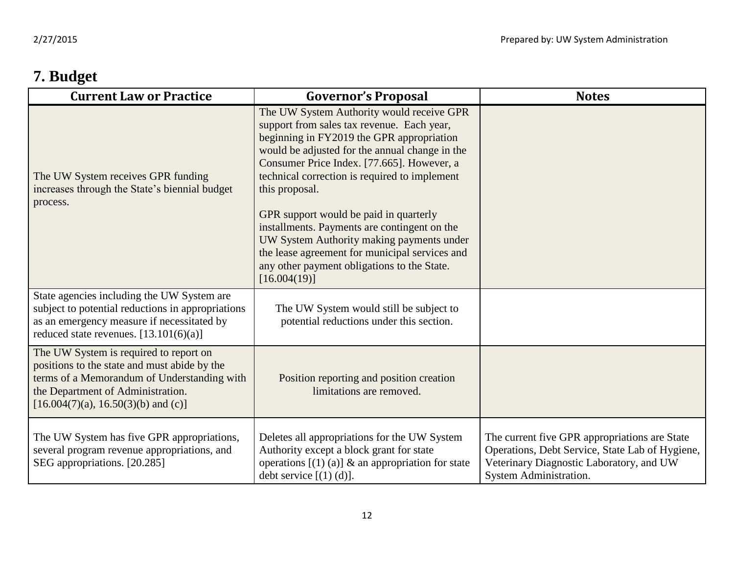## **7. Budget**

| <b>Current Law or Practice</b>                                                                                                                                                                                      | <b>Governor's Proposal</b>                                                                                                                                                                                                                                                                                                                                                                                                                                                                                                                                      | <b>Notes</b>                                                                                                                                                                  |
|---------------------------------------------------------------------------------------------------------------------------------------------------------------------------------------------------------------------|-----------------------------------------------------------------------------------------------------------------------------------------------------------------------------------------------------------------------------------------------------------------------------------------------------------------------------------------------------------------------------------------------------------------------------------------------------------------------------------------------------------------------------------------------------------------|-------------------------------------------------------------------------------------------------------------------------------------------------------------------------------|
| The UW System receives GPR funding<br>increases through the State's biennial budget<br>process.                                                                                                                     | The UW System Authority would receive GPR<br>support from sales tax revenue. Each year,<br>beginning in FY2019 the GPR appropriation<br>would be adjusted for the annual change in the<br>Consumer Price Index. [77.665]. However, a<br>technical correction is required to implement<br>this proposal.<br>GPR support would be paid in quarterly<br>installments. Payments are contingent on the<br>UW System Authority making payments under<br>the lease agreement for municipal services and<br>any other payment obligations to the State.<br>[16.004(19)] |                                                                                                                                                                               |
| State agencies including the UW System are<br>subject to potential reductions in appropriations<br>as an emergency measure if necessitated by<br>reduced state revenues. $[13.101(6)(a)]$                           | The UW System would still be subject to<br>potential reductions under this section.                                                                                                                                                                                                                                                                                                                                                                                                                                                                             |                                                                                                                                                                               |
| The UW System is required to report on<br>positions to the state and must abide by the<br>terms of a Memorandum of Understanding with<br>the Department of Administration.<br>$[16.004(7)(a), 16.50(3)(b)$ and (c)] | Position reporting and position creation<br>limitations are removed.                                                                                                                                                                                                                                                                                                                                                                                                                                                                                            |                                                                                                                                                                               |
| The UW System has five GPR appropriations,<br>several program revenue appropriations, and<br>SEG appropriations. [20.285]                                                                                           | Deletes all appropriations for the UW System<br>Authority except a block grant for state<br>operations $[(1) (a)]$ & an appropriation for state<br>debt service $[(1) (d)].$                                                                                                                                                                                                                                                                                                                                                                                    | The current five GPR appropriations are State<br>Operations, Debt Service, State Lab of Hygiene,<br>Veterinary Diagnostic Laboratory, and UW<br><b>System Administration.</b> |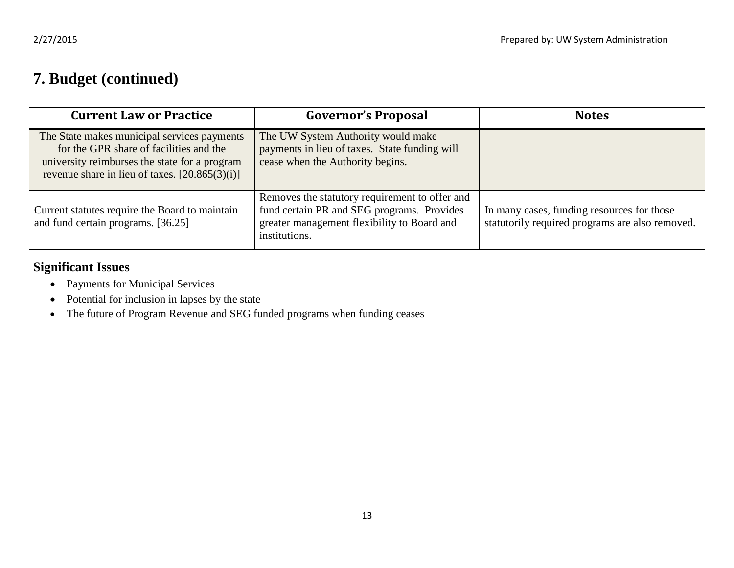#### **7. Budget (continued)**

| <b>Current Law or Practice</b>                                                                                                                                                              | <b>Governor's Proposal</b>                                                                                                                                   | <b>Notes</b>                                                                                  |
|---------------------------------------------------------------------------------------------------------------------------------------------------------------------------------------------|--------------------------------------------------------------------------------------------------------------------------------------------------------------|-----------------------------------------------------------------------------------------------|
| The State makes municipal services payments<br>for the GPR share of facilities and the<br>university reimburses the state for a program<br>revenue share in lieu of taxes. $[20.865(3)(i)]$ | The UW System Authority would make<br>payments in lieu of taxes. State funding will<br>cease when the Authority begins.                                      |                                                                                               |
| Current statutes require the Board to maintain<br>and fund certain programs. [36.25]                                                                                                        | Removes the statutory requirement to offer and<br>fund certain PR and SEG programs. Provides<br>greater management flexibility to Board and<br>institutions. | In many cases, funding resources for those<br>statutorily required programs are also removed. |

#### **Significant Issues**

- Payments for Municipal Services
- Potential for inclusion in lapses by the state
- The future of Program Revenue and SEG funded programs when funding ceases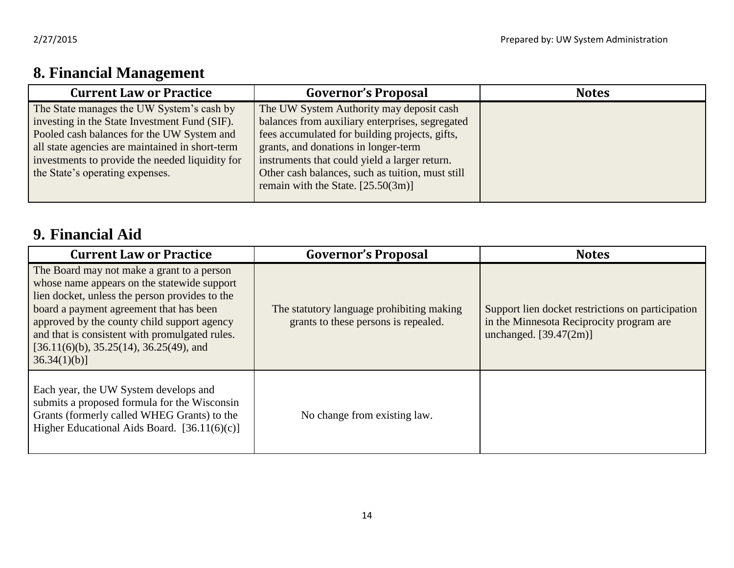## **8. Financial Management**

| <b>Current Law or Practice</b>                                                                                                                                                                                                                                                    | <b>Governor's Proposal</b>                                                                                                                                                                                                                                                                                                         | <b>Notes</b> |
|-----------------------------------------------------------------------------------------------------------------------------------------------------------------------------------------------------------------------------------------------------------------------------------|------------------------------------------------------------------------------------------------------------------------------------------------------------------------------------------------------------------------------------------------------------------------------------------------------------------------------------|--------------|
| The State manages the UW System's cash by<br>investing in the State Investment Fund (SIF).<br>Pooled cash balances for the UW System and<br>all state agencies are maintained in short-term<br>investments to provide the needed liquidity for<br>the State's operating expenses. | The UW System Authority may deposit cash<br>balances from auxiliary enterprises, segregated<br>fees accumulated for building projects, gifts,<br>grants, and donations in longer-term<br>instruments that could yield a larger return.<br>Other cash balances, such as tuition, must still<br>remain with the State. $[25.50(3m)]$ |              |

### **9. Financial Aid**

| <b>Current Law or Practice</b>                                                                                                                                                                                                                                                                                                                      | <b>Governor's Proposal</b>                                                        | <b>Notes</b>                                                                                                              |
|-----------------------------------------------------------------------------------------------------------------------------------------------------------------------------------------------------------------------------------------------------------------------------------------------------------------------------------------------------|-----------------------------------------------------------------------------------|---------------------------------------------------------------------------------------------------------------------------|
| The Board may not make a grant to a person<br>whose name appears on the statewide support<br>lien docket, unless the person provides to the<br>board a payment agreement that has been<br>approved by the county child support agency<br>and that is consistent with promulgated rules.<br>$[36.11(6)(b), 35.25(14), 36.25(49), and$<br>36.34(1)(b) | The statutory language prohibiting making<br>grants to these persons is repealed. | Support lien docket restrictions on participation<br>in the Minnesota Reciprocity program are<br>unchanged. $[39.47(2m)]$ |
| Each year, the UW System develops and<br>submits a proposed formula for the Wisconsin<br>Grants (formerly called WHEG Grants) to the<br>Higher Educational Aids Board. $[36.11(6)(c)]$                                                                                                                                                              | No change from existing law.                                                      |                                                                                                                           |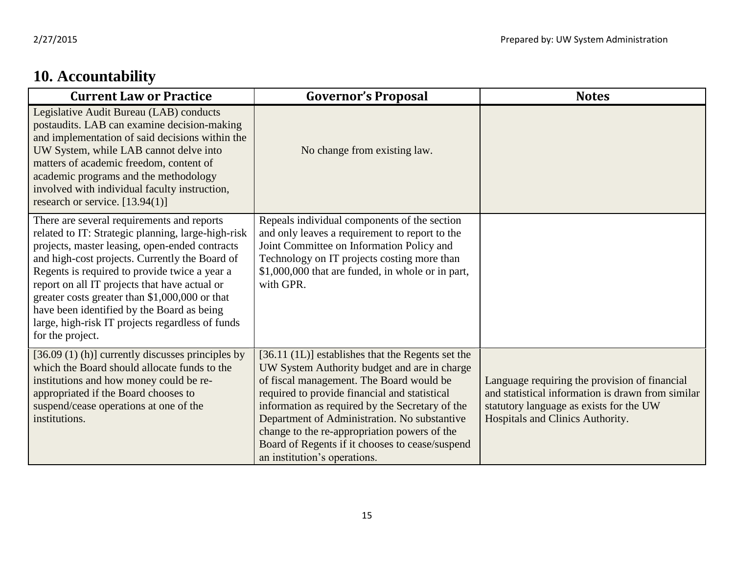# **10. Accountability**

| <b>Current Law or Practice</b>                                                                                                                                                                                                                                                                                                                                                                                                                                                 | <b>Governor's Proposal</b>                                                                                                                                                                                                                                                                                                                                                                                                           | <b>Notes</b>                                                                                                                                                                      |
|--------------------------------------------------------------------------------------------------------------------------------------------------------------------------------------------------------------------------------------------------------------------------------------------------------------------------------------------------------------------------------------------------------------------------------------------------------------------------------|--------------------------------------------------------------------------------------------------------------------------------------------------------------------------------------------------------------------------------------------------------------------------------------------------------------------------------------------------------------------------------------------------------------------------------------|-----------------------------------------------------------------------------------------------------------------------------------------------------------------------------------|
| Legislative Audit Bureau (LAB) conducts<br>postaudits. LAB can examine decision-making<br>and implementation of said decisions within the<br>UW System, while LAB cannot delve into<br>matters of academic freedom, content of<br>academic programs and the methodology<br>involved with individual faculty instruction,<br>research or service. [13.94(1)]                                                                                                                    | No change from existing law.                                                                                                                                                                                                                                                                                                                                                                                                         |                                                                                                                                                                                   |
| There are several requirements and reports<br>related to IT: Strategic planning, large-high-risk<br>projects, master leasing, open-ended contracts<br>and high-cost projects. Currently the Board of<br>Regents is required to provide twice a year a<br>report on all IT projects that have actual or<br>greater costs greater than \$1,000,000 or that<br>have been identified by the Board as being<br>large, high-risk IT projects regardless of funds<br>for the project. | Repeals individual components of the section<br>and only leaves a requirement to report to the<br>Joint Committee on Information Policy and<br>Technology on IT projects costing more than<br>\$1,000,000 that are funded, in whole or in part,<br>with GPR.                                                                                                                                                                         |                                                                                                                                                                                   |
| $[36.09 (1) (h)]$ currently discusses principles by<br>which the Board should allocate funds to the<br>institutions and how money could be re-<br>appropriated if the Board chooses to<br>suspend/cease operations at one of the<br>institutions.                                                                                                                                                                                                                              | [36.11 (1L)] establishes that the Regents set the<br>UW System Authority budget and are in charge<br>of fiscal management. The Board would be<br>required to provide financial and statistical<br>information as required by the Secretary of the<br>Department of Administration. No substantive<br>change to the re-appropriation powers of the<br>Board of Regents if it chooses to cease/suspend<br>an institution's operations. | Language requiring the provision of financial<br>and statistical information is drawn from similar<br>statutory language as exists for the UW<br>Hospitals and Clinics Authority. |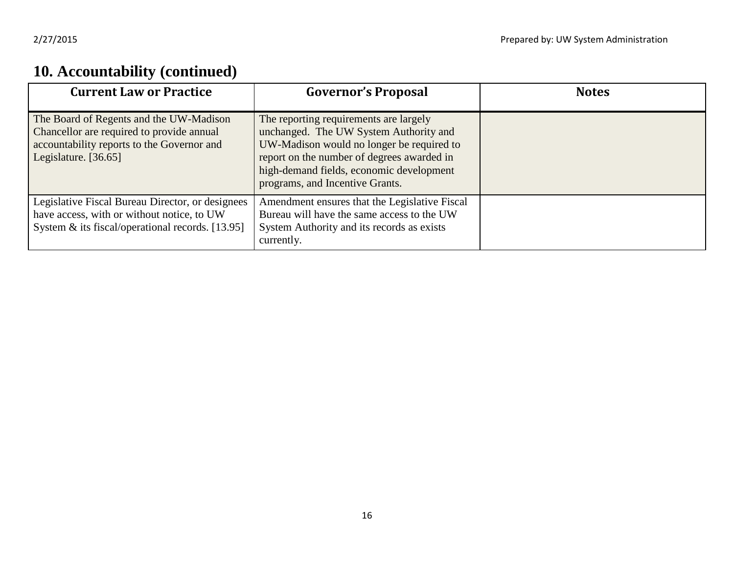## **10. Accountability (continued)**

| <b>Current Law or Practice</b>                                                                                                                             | <b>Governor's Proposal</b>                                                                                                                                                                                                                                 | <b>Notes</b> |
|------------------------------------------------------------------------------------------------------------------------------------------------------------|------------------------------------------------------------------------------------------------------------------------------------------------------------------------------------------------------------------------------------------------------------|--------------|
| The Board of Regents and the UW-Madison<br>Chancellor are required to provide annual<br>accountability reports to the Governor and<br>Legislature. [36.65] | The reporting requirements are largely<br>unchanged. The UW System Authority and<br>UW-Madison would no longer be required to<br>report on the number of degrees awarded in<br>high-demand fields, economic development<br>programs, and Incentive Grants. |              |
| Legislative Fiscal Bureau Director, or designees<br>have access, with or without notice, to UW<br>System & its fiscal/operational records. [13.95]         | Amendment ensures that the Legislative Fiscal<br>Bureau will have the same access to the UW<br>System Authority and its records as exists<br>currently.                                                                                                    |              |